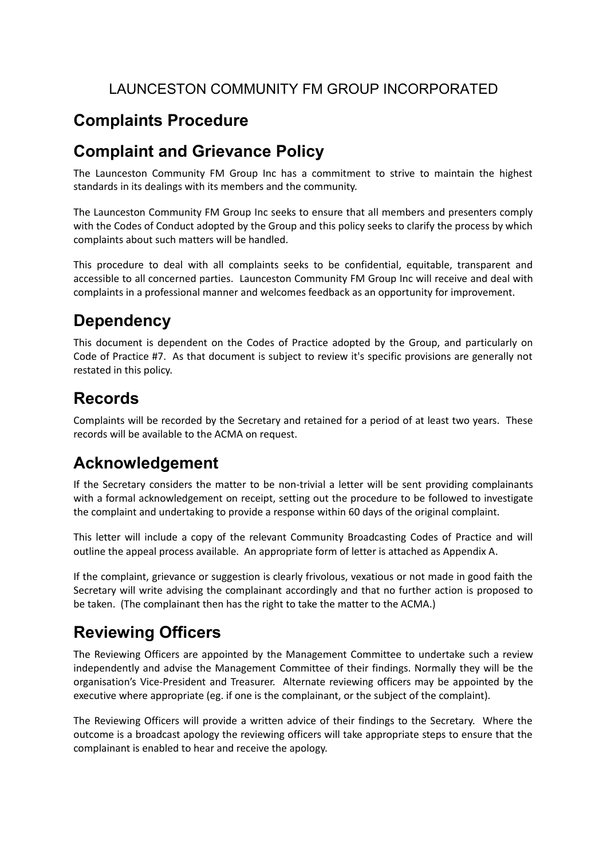#### LAUNCESTON COMMUNITY FM GROUP INCORPORATED

# **Complaints Procedure**

#### **Complaint and Grievance Policy**

The Launceston Community FM Group Inc has a commitment to strive to maintain the highest standards in its dealings with its members and the community.

The Launceston Community FM Group Inc seeks to ensure that all members and presenters comply with the Codes of Conduct adopted by the Group and this policy seeks to clarify the process by which complaints about such matters will be handled.

This procedure to deal with all complaints seeks to be confidential, equitable, transparent and accessible to all concerned parties. Launceston Community FM Group Inc will receive and deal with complaints in a professional manner and welcomes feedback as an opportunity for improvement.

# **Dependency**

This document is dependent on the Codes of Practice adopted by the Group, and particularly on Code of Practice #7. As that document is subject to review it's specific provisions are generally not restated in this policy.

# **Records**

Complaints will be recorded by the Secretary and retained for a period of at least two years. These records will be available to the ACMA on request.

### **Acknowledgement**

If the Secretary considers the matter to be non-trivial a letter will be sent providing complainants with a formal acknowledgement on receipt, setting out the procedure to be followed to investigate the complaint and undertaking to provide a response within 60 days of the original complaint.

This letter will include a copy of the relevant Community Broadcasting Codes of Practice and will outline the appeal process available. An appropriate form of letter is attached as Appendix A.

If the complaint, grievance or suggestion is clearly frivolous, vexatious or not made in good faith the Secretary will write advising the complainant accordingly and that no further action is proposed to be taken. (The complainant then has the right to take the matter to the ACMA.)

# **Reviewing Officers**

The Reviewing Officers are appointed by the Management Committee to undertake such a review independently and advise the Management Committee of their findings. Normally they will be the organisation's Vice-President and Treasurer. Alternate reviewing officers may be appointed by the executive where appropriate (eg. if one is the complainant, or the subject of the complaint).

The Reviewing Officers will provide a written advice of their findings to the Secretary. Where the outcome is a broadcast apology the reviewing officers will take appropriate steps to ensure that the complainant is enabled to hear and receive the apology.